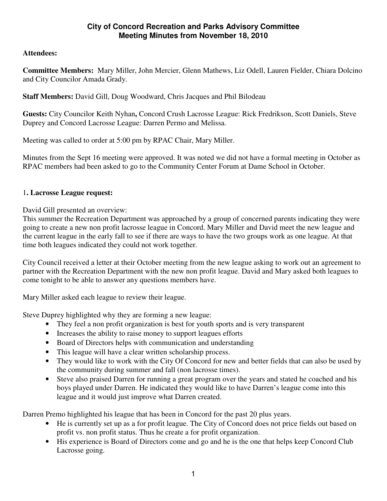### **City of Concord Recreation and Parks Advisory Committee Meeting Minutes from November 18, 2010**

## **Attendees:**

**Committee Members:** Mary Miller, John Mercier, Glenn Mathews, Liz Odell, Lauren Fielder, Chiara Dolcino and City Councilor Amada Grady.

**Staff Members:** David Gill, Doug Woodward, Chris Jacques and Phil Bilodeau

**Guests:** City Councilor Keith Nyhan**,** Concord Crush Lacrosse League: Rick Fredrikson, Scott Daniels, Steve Duprey and Concord Lacrosse League: Darren Permo and Melissa.

Meeting was called to order at 5:00 pm by RPAC Chair, Mary Miller.

Minutes from the Sept 16 meeting were approved. It was noted we did not have a formal meeting in October as RPAC members had been asked to go to the Community Center Forum at Dame School in October.

#### 1**. Lacrosse League request:**

David Gill presented an overview:

This summer the Recreation Department was approached by a group of concerned parents indicating they were going to create a new non profit lacrosse league in Concord. Mary Miller and David meet the new league and the current league in the early fall to see if there are ways to have the two groups work as one league. At that time both leagues indicated they could not work together.

City Council received a letter at their October meeting from the new league asking to work out an agreement to partner with the Recreation Department with the new non profit league. David and Mary asked both leagues to come tonight to be able to answer any questions members have.

Mary Miller asked each league to review their league.

Steve Duprey highlighted why they are forming a new league:

- They feel a non profit organization is best for youth sports and is very transparent
- Increases the ability to raise money to support leagues efforts
- Board of Directors helps with communication and understanding
- This league will have a clear written scholarship process.
- They would like to work with the City Of Concord for new and better fields that can also be used by the community during summer and fall (non lacrosse times).
- Steve also praised Darren for running a great program over the years and stated he coached and his boys played under Darren. He indicated they would like to have Darren's league come into this league and it would just improve what Darren created.

Darren Premo highlighted his league that has been in Concord for the past 20 plus years.

- He is currently set up as a for profit league. The City of Concord does not price fields out based on profit vs. non profit status. Thus he create a for profit organization.
- His experience is Board of Directors come and go and he is the one that helps keep Concord Club Lacrosse going.